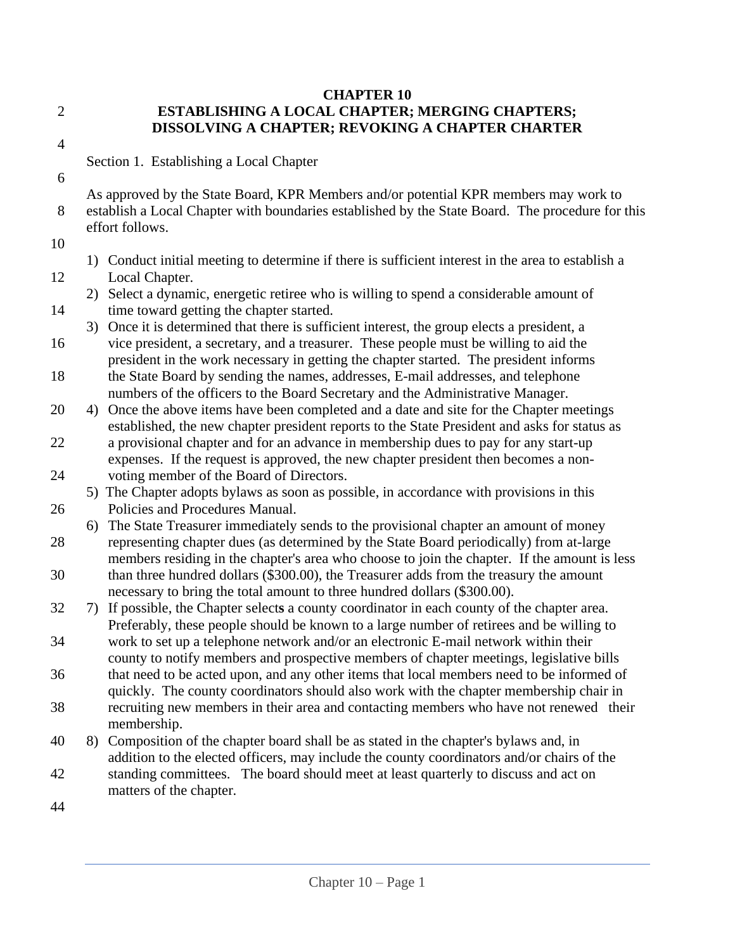## **CHAPTER 10** 2 **ESTABLISHING A LOCAL CHAPTER; MERGING CHAPTERS; DISSOLVING A CHAPTER; REVOKING A CHAPTER CHARTER**

4

6

Section 1. Establishing a Local Chapter

As approved by the State Board, KPR Members and/or potential KPR members may work to 8 establish a Local Chapter with boundaries established by the State Board. The procedure for this effort follows.

10

1) Conduct initial meeting to determine if there is sufficient interest in the area to establish a 12 Local Chapter.

2) Select a dynamic, energetic retiree who is willing to spend a considerable amount of 14 time toward getting the chapter started.

3) Once it is determined that there is sufficient interest, the group elects a president, a 16 vice president, a secretary, and a treasurer. These people must be willing to aid the

president in the work necessary in getting the chapter started. The president informs 18 the State Board by sending the names, addresses, E-mail addresses, and telephone numbers of the officers to the Board Secretary and the Administrative Manager.

20 4) Once the above items have been completed and a date and site for the Chapter meetings established, the new chapter president reports to the State President and asks for status as

22 a provisional chapter and for an advance in membership dues to pay for any start-up expenses. If the request is approved, the new chapter president then becomes a non-24 voting member of the Board of Directors.

5) The Chapter adopts bylaws as soon as possible, in accordance with provisions in this 26 Policies and Procedures Manual.

6) The State Treasurer immediately sends to the provisional chapter an amount of money 28 representing chapter dues (as determined by the State Board periodically) from at-large members residing in the chapter's area who choose to join the chapter. If the amount is less 30 than three hundred dollars (\$300.00), the Treasurer adds from the treasury the amount necessary to bring the total amount to three hundred dollars (\$300.00).

32 7) If possible, the Chapter select**s** a county coordinator in each county of the chapter area. Preferably, these people should be known to a large number of retirees and be willing to

34 work to set up a telephone network and/or an electronic E-mail network within their county to notify members and prospective members of chapter meetings, legislative bills

36 that need to be acted upon, and any other items that local members need to be informed of quickly. The county coordinators should also work with the chapter membership chair in

38 recruiting new members in their area and contacting members who have not renewed their membership.

40 8) Composition of the chapter board shall be as stated in the chapter's bylaws and, in addition to the elected officers, may include the county coordinators and/or chairs of the

- 42 standing committees.The board should meet at least quarterly to discuss and act on matters of the chapter.
- 44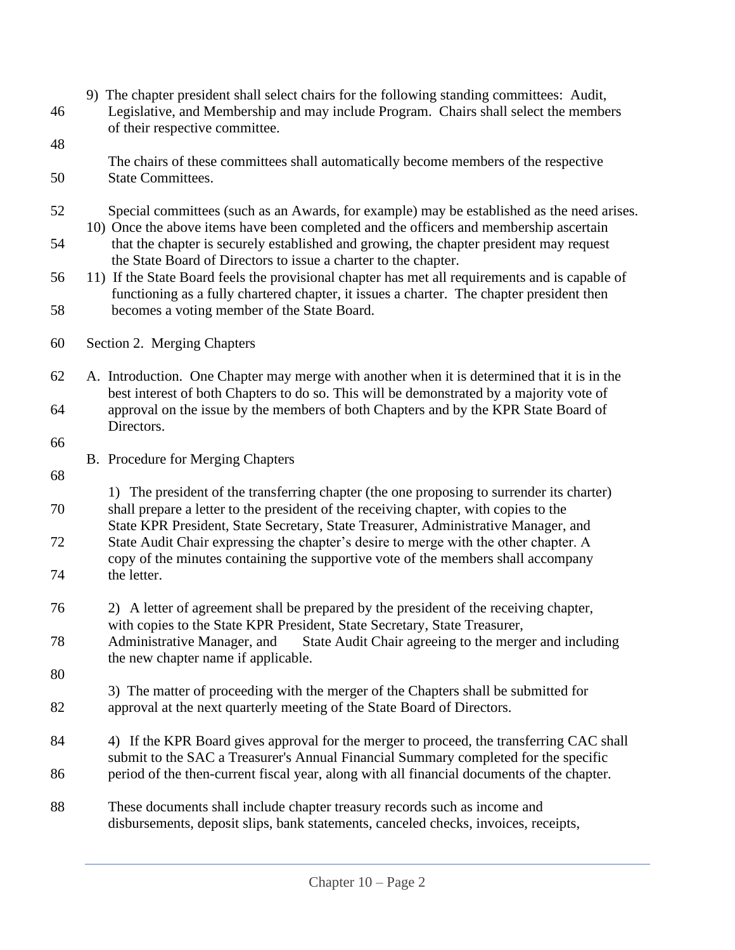- 9) The chapter president shall select chairs for the following standing committees: Audit, 46 Legislative, and Membership and may include Program. Chairs shall select the members of their respective committee.
- 48
- The chairs of these committees shall automatically become members of the respective 50 State Committees.
- 52 Special committees (such as an Awards, for example) may be established as the need arises. 10) Once the above items have been completed and the officers and membership ascertain
- 54 that the chapter is securely established and growing, the chapter president may request the State Board of Directors to issue a charter to the chapter.
- 56 11) If the State Board feels the provisional chapter has met all requirements and is capable of functioning as a fully chartered chapter, it issues a charter. The chapter president then 58 becomes a voting member of the State Board.
- 60 Section 2. Merging Chapters
- 62 A. Introduction. One Chapter may merge with another when it is determined that it is in the best interest of both Chapters to do so. This will be demonstrated by a majority vote of 64 approval on the issue by the members of both Chapters and by the KPR State Board of Directors.
- 66
- B. Procedure for Merging Chapters
- 68
- 1) The president of the transferring chapter (the one proposing to surrender its charter) 70 shall prepare a letter to the president of the receiving chapter, with copies to the State KPR President, State Secretary, State Treasurer, Administrative Manager, and
- 72 State Audit Chair expressing the chapter's desire to merge with the other chapter. A copy of the minutes containing the supportive vote of the members shall accompany 74 the letter.
- 76 2) A letter of agreement shall be prepared by the president of the receiving chapter, with copies to the State KPR President, State Secretary, State Treasurer,
- 78 Administrative Manager, and State Audit Chair agreeing to the merger and including the new chapter name if applicable.
- 80
- 3) The matter of proceeding with the merger of the Chapters shall be submitted for 82 approval at the next quarterly meeting of the State Board of Directors.
- 84 4) If the KPR Board gives approval for the merger to proceed, the transferring CAC shall submit to the SAC a Treasurer's Annual Financial Summary completed for the specific 86 period of the then-current fiscal year, along with all financial documents of the chapter.
- 88 These documents shall include chapter treasury records such as income and disbursements, deposit slips, bank statements, canceled checks, invoices, receipts,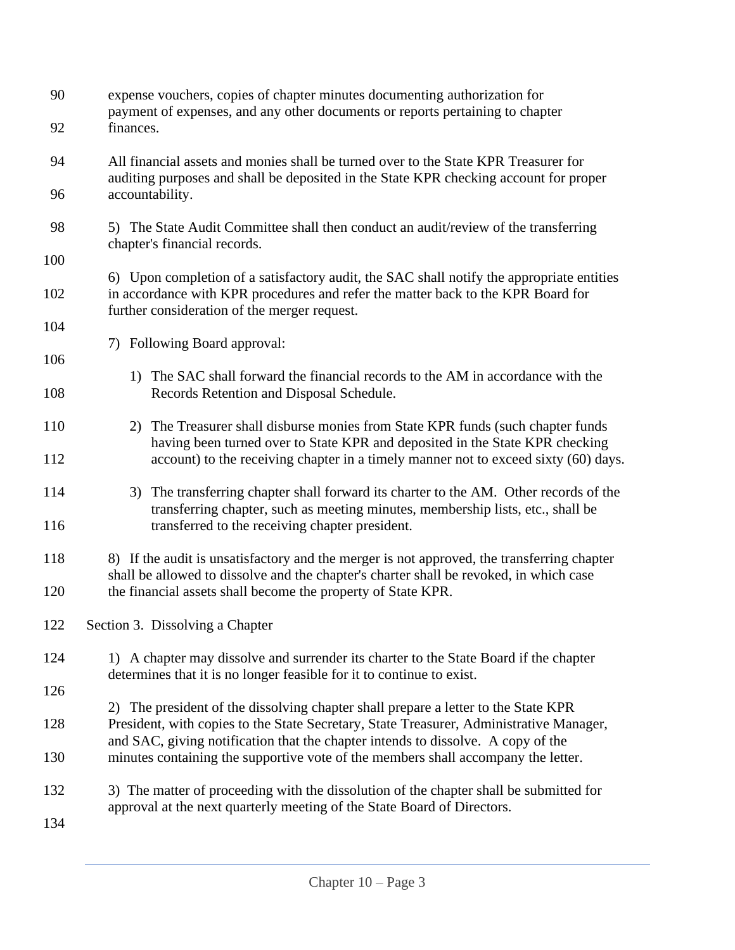| 90<br>92   | expense vouchers, copies of chapter minutes documenting authorization for<br>payment of expenses, and any other documents or reports pertaining to chapter<br>finances.                                                                                           |
|------------|-------------------------------------------------------------------------------------------------------------------------------------------------------------------------------------------------------------------------------------------------------------------|
| 94         | All financial assets and monies shall be turned over to the State KPR Treasurer for<br>auditing purposes and shall be deposited in the State KPR checking account for proper                                                                                      |
| 96         | accountability.                                                                                                                                                                                                                                                   |
| 98         | 5) The State Audit Committee shall then conduct an audit/review of the transferring<br>chapter's financial records.                                                                                                                                               |
| 100        |                                                                                                                                                                                                                                                                   |
| 102        | 6) Upon completion of a satisfactory audit, the SAC shall notify the appropriate entities<br>in accordance with KPR procedures and refer the matter back to the KPR Board for<br>further consideration of the merger request.                                     |
| 104        |                                                                                                                                                                                                                                                                   |
| 106        | 7) Following Board approval:                                                                                                                                                                                                                                      |
| 108        | 1) The SAC shall forward the financial records to the AM in accordance with the<br>Records Retention and Disposal Schedule.                                                                                                                                       |
| 110        | 2) The Treasurer shall disburse monies from State KPR funds (such chapter funds<br>having been turned over to State KPR and deposited in the State KPR checking<br>account) to the receiving chapter in a timely manner not to exceed sixty (60) days.            |
| 112        |                                                                                                                                                                                                                                                                   |
| 114<br>116 | 3) The transferring chapter shall forward its charter to the AM. Other records of the<br>transferring chapter, such as meeting minutes, membership lists, etc., shall be<br>transferred to the receiving chapter president.                                       |
| 118<br>120 | 8) If the audit is unsatisfactory and the merger is not approved, the transferring chapter<br>shall be allowed to dissolve and the chapter's charter shall be revoked, in which case<br>the financial assets shall become the property of State KPR.              |
|            |                                                                                                                                                                                                                                                                   |
| 122        | Section 3. Dissolving a Chapter                                                                                                                                                                                                                                   |
| 124        | 1) A chapter may dissolve and surrender its charter to the State Board if the chapter<br>determines that it is no longer feasible for it to continue to exist.                                                                                                    |
| 126        |                                                                                                                                                                                                                                                                   |
| 128        | 2) The president of the dissolving chapter shall prepare a letter to the State KPR<br>President, with copies to the State Secretary, State Treasurer, Administrative Manager,<br>and SAC, giving notification that the chapter intends to dissolve. A copy of the |
| 130        | minutes containing the supportive vote of the members shall accompany the letter.                                                                                                                                                                                 |
| 132        | 3) The matter of proceeding with the dissolution of the chapter shall be submitted for<br>approval at the next quarterly meeting of the State Board of Directors.                                                                                                 |
| 134        |                                                                                                                                                                                                                                                                   |